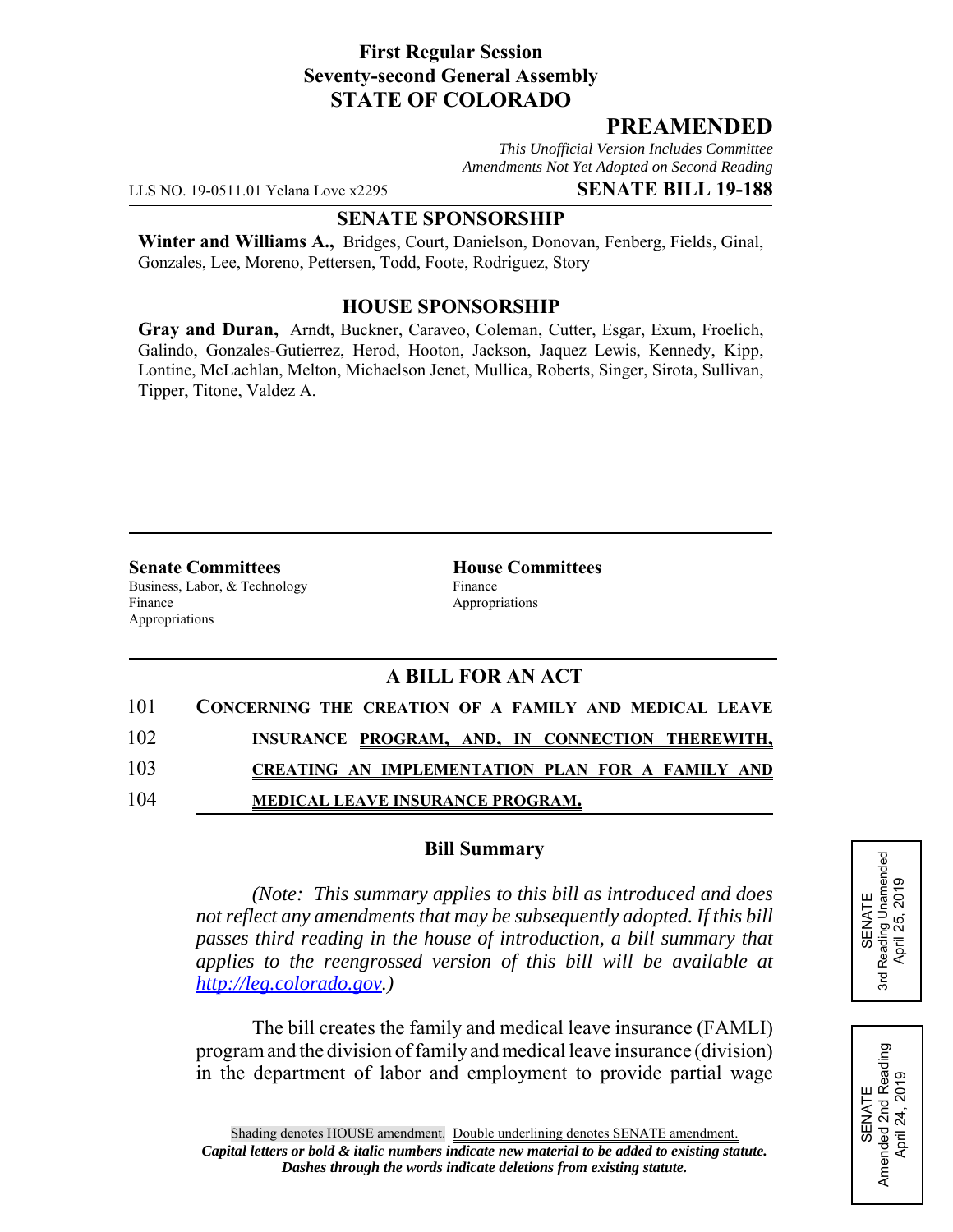## **First Regular Session Seventy-second General Assembly STATE OF COLORADO**

# **PREAMENDED**

*This Unofficial Version Includes Committee Amendments Not Yet Adopted on Second Reading*

LLS NO. 19-0511.01 Yelana Love x2295 **SENATE BILL 19-188**

#### **SENATE SPONSORSHIP**

**Winter and Williams A.,** Bridges, Court, Danielson, Donovan, Fenberg, Fields, Ginal, Gonzales, Lee, Moreno, Pettersen, Todd, Foote, Rodriguez, Story

### **HOUSE SPONSORSHIP**

**Gray and Duran,** Arndt, Buckner, Caraveo, Coleman, Cutter, Esgar, Exum, Froelich, Galindo, Gonzales-Gutierrez, Herod, Hooton, Jackson, Jaquez Lewis, Kennedy, Kipp, Lontine, McLachlan, Melton, Michaelson Jenet, Mullica, Roberts, Singer, Sirota, Sullivan, Tipper, Titone, Valdez A.

**Senate Committees House Committees** Business, Labor, & Technology Finance Finance Appropriations Appropriations

# **A BILL FOR AN ACT**

| 101 | CONCERNING THE CREATION OF A FAMILY AND MEDICAL LEAVE |
|-----|-------------------------------------------------------|
| 102 | INSURANCE PROGRAM, AND, IN CONNECTION THEREWITH,      |
| 103 | CREATING AN IMPLEMENTATION PLAN FOR A FAMILY AND      |
| 104 | MEDICAL LEAVE INSURANCE PROGRAM.                      |

### **Bill Summary**

*(Note: This summary applies to this bill as introduced and does not reflect any amendments that may be subsequently adopted. If this bill passes third reading in the house of introduction, a bill summary that applies to the reengrossed version of this bill will be available at http://leg.colorado.gov.)*

The bill creates the family and medical leave insurance (FAMLI) program and the division of family and medical leave insurance (division) in the department of labor and employment to provide partial wage



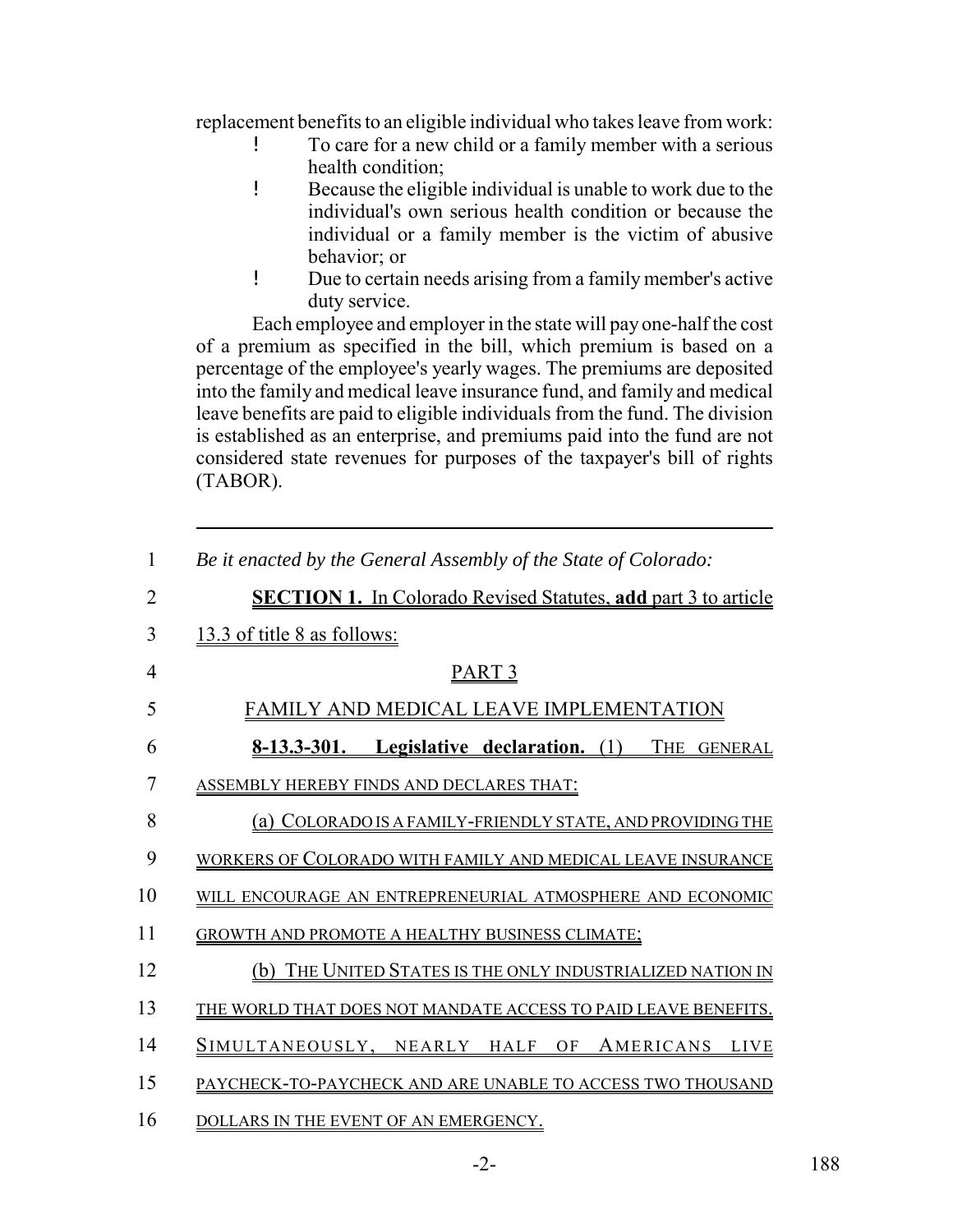replacement benefits to an eligible individual who takes leave from work:

- ! To care for a new child or a family member with a serious health condition;
- ! Because the eligible individual is unable to work due to the individual's own serious health condition or because the individual or a family member is the victim of abusive behavior; or
- ! Due to certain needs arising from a family member's active duty service.

Each employee and employer in the state will pay one-half the cost of a premium as specified in the bill, which premium is based on a percentage of the employee's yearly wages. The premiums are deposited into the family and medical leave insurance fund, and family and medical leave benefits are paid to eligible individuals from the fund. The division is established as an enterprise, and premiums paid into the fund are not considered state revenues for purposes of the taxpayer's bill of rights (TABOR).

| $\mathbf{1}$   | Be it enacted by the General Assembly of the State of Colorado:       |
|----------------|-----------------------------------------------------------------------|
| $\overline{2}$ | <b>SECTION 1.</b> In Colorado Revised Statutes, add part 3 to article |
| 3              | 13.3 of title 8 as follows:                                           |
| $\overline{4}$ | <u>PART 3</u>                                                         |
| 5              | FAMILY AND MEDICAL LEAVE IMPLEMENTATION                               |
| 6              | 8-13.3-301. Legislative declaration. (1)<br>THE<br><b>GENERAL</b>     |
| $\overline{7}$ | ASSEMBLY HEREBY FINDS AND DECLARES THAT:                              |
| 8              | (a) COLORADO IS A FAMILY-FRIENDLY STATE, AND PROVIDING THE            |
| 9              | WORKERS OF COLORADO WITH FAMILY AND MEDICAL LEAVE INSURANCE           |
| 10             | WILL ENCOURAGE AN ENTREPRENEURIAL ATMOSPHERE AND ECONOMIC             |
| 11             | <b>GROWTH AND PROMOTE A HEALTHY BUSINESS CLIMATE:</b>                 |
| 12             | (b) THE UNITED STATES IS THE ONLY INDUSTRIALIZED NATION IN            |
| 13             | THE WORLD THAT DOES NOT MANDATE ACCESS TO PAID LEAVE BENEFITS.        |
| 14             | SIMULTANEOUSLY, NEARLY HALF OF AMERICANS LIVE                         |
| 15             | PAYCHECK-TO-PAYCHECK AND ARE UNABLE TO ACCESS TWO THOUSAND            |
| 16             | DOLLARS IN THE EVENT OF AN EMERGENCY.                                 |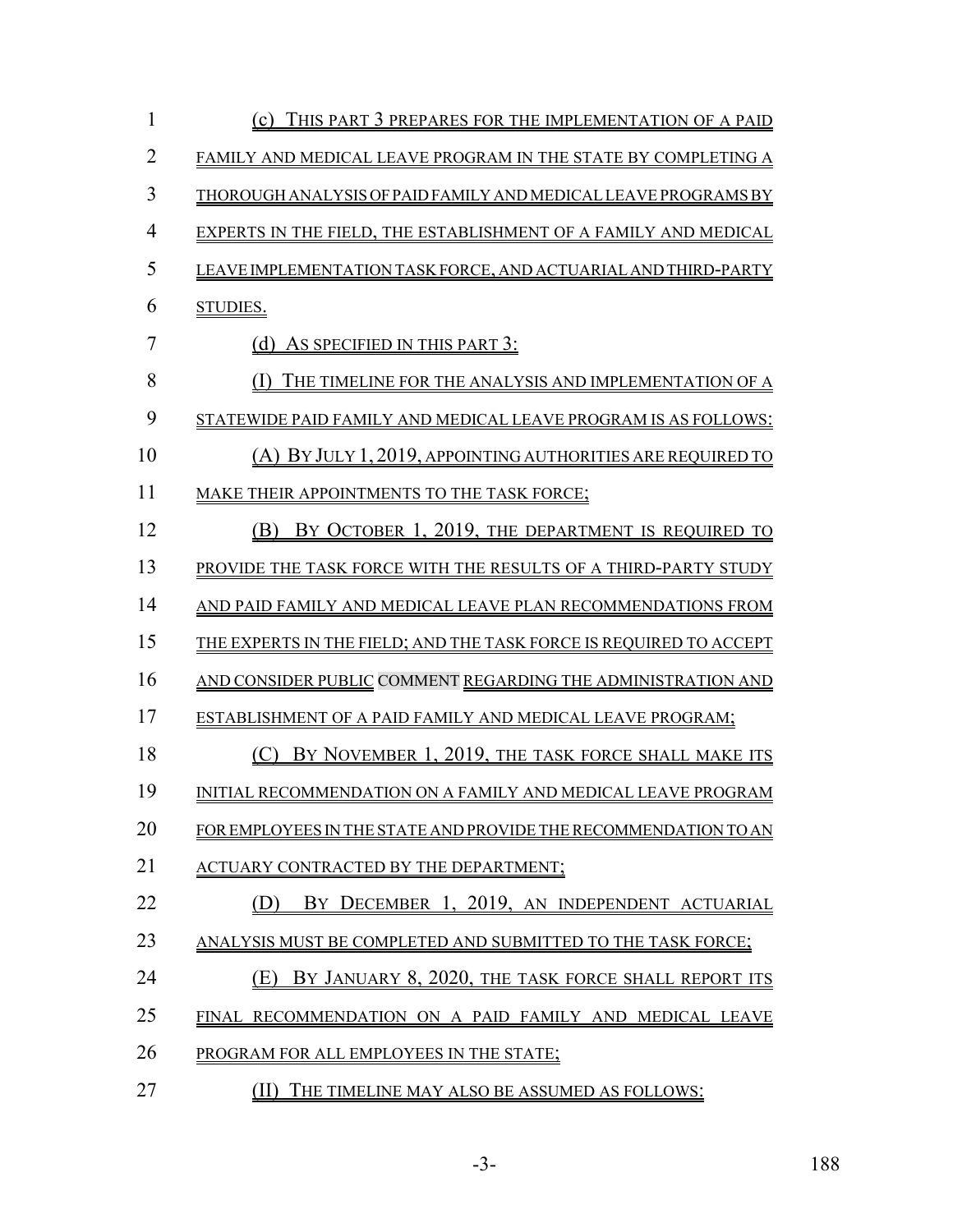| 1              | (c) THIS PART 3 PREPARES FOR THE IMPLEMENTATION OF A PAID          |
|----------------|--------------------------------------------------------------------|
| $\overline{2}$ | FAMILY AND MEDICAL LEAVE PROGRAM IN THE STATE BY COMPLETING A      |
| 3              | THOROUGH ANALYSIS OF PAID FAMILY AND MEDICAL LEAVE PROGRAMS BY     |
| $\overline{4}$ | EXPERTS IN THE FIELD, THE ESTABLISHMENT OF A FAMILY AND MEDICAL    |
| 5              | LEAVE IMPLEMENTATION TASK FORCE, AND ACTUARIAL AND THIRD-PARTY     |
| 6              | STUDIES.                                                           |
| 7              | (d) AS SPECIFIED IN THIS PART 3:                                   |
| 8              | (1) THE TIMELINE FOR THE ANALYSIS AND IMPLEMENTATION OF A          |
| 9              | STATEWIDE PAID FAMILY AND MEDICAL LEAVE PROGRAM IS AS FOLLOWS:     |
| 10             | (A) BY JULY 1, 2019, APPOINTING AUTHORITIES ARE REQUIRED TO        |
| 11             | MAKE THEIR APPOINTMENTS TO THE TASK FORCE;                         |
| 12             | BY OCTOBER 1, 2019, THE DEPARTMENT IS REQUIRED TO<br>(B)           |
| 13             | PROVIDE THE TASK FORCE WITH THE RESULTS OF A THIRD-PARTY STUDY     |
| 14             | AND PAID FAMILY AND MEDICAL LEAVE PLAN RECOMMENDATIONS FROM        |
| 15             | THE EXPERTS IN THE FIELD; AND THE TASK FORCE IS REQUIRED TO ACCEPT |
| 16             | AND CONSIDER PUBLIC COMMENT REGARDING THE ADMINISTRATION AND       |
| 17             | ESTABLISHMENT OF A PAID FAMILY AND MEDICAL LEAVE PROGRAM;          |
| 18             | BY NOVEMBER 1, 2019, THE TASK FORCE SHALL MAKE ITS                 |
| 19             | INITIAL RECOMMENDATION ON A FAMILY AND MEDICAL LEAVE PROGRAM       |
| 20             | FOR EMPLOYEES IN THE STATE AND PROVIDE THE RECOMMENDATION TO AN    |
| 21             | ACTUARY CONTRACTED BY THE DEPARTMENT;                              |
| 22             | BY DECEMBER 1, 2019, AN INDEPENDENT ACTUARIAL                      |
| 23             | ANALYSIS MUST BE COMPLETED AND SUBMITTED TO THE TASK FORCE;        |
| 24             | BY JANUARY 8, 2020, THE TASK FORCE SHALL REPORT ITS<br>(E)         |
| 25             | FINAL RECOMMENDATION ON A PAID FAMILY AND MEDICAL LEAVE            |
| 26             | PROGRAM FOR ALL EMPLOYEES IN THE STATE;                            |
| 27             | THE TIMELINE MAY ALSO BE ASSUMED AS FOLLOWS:                       |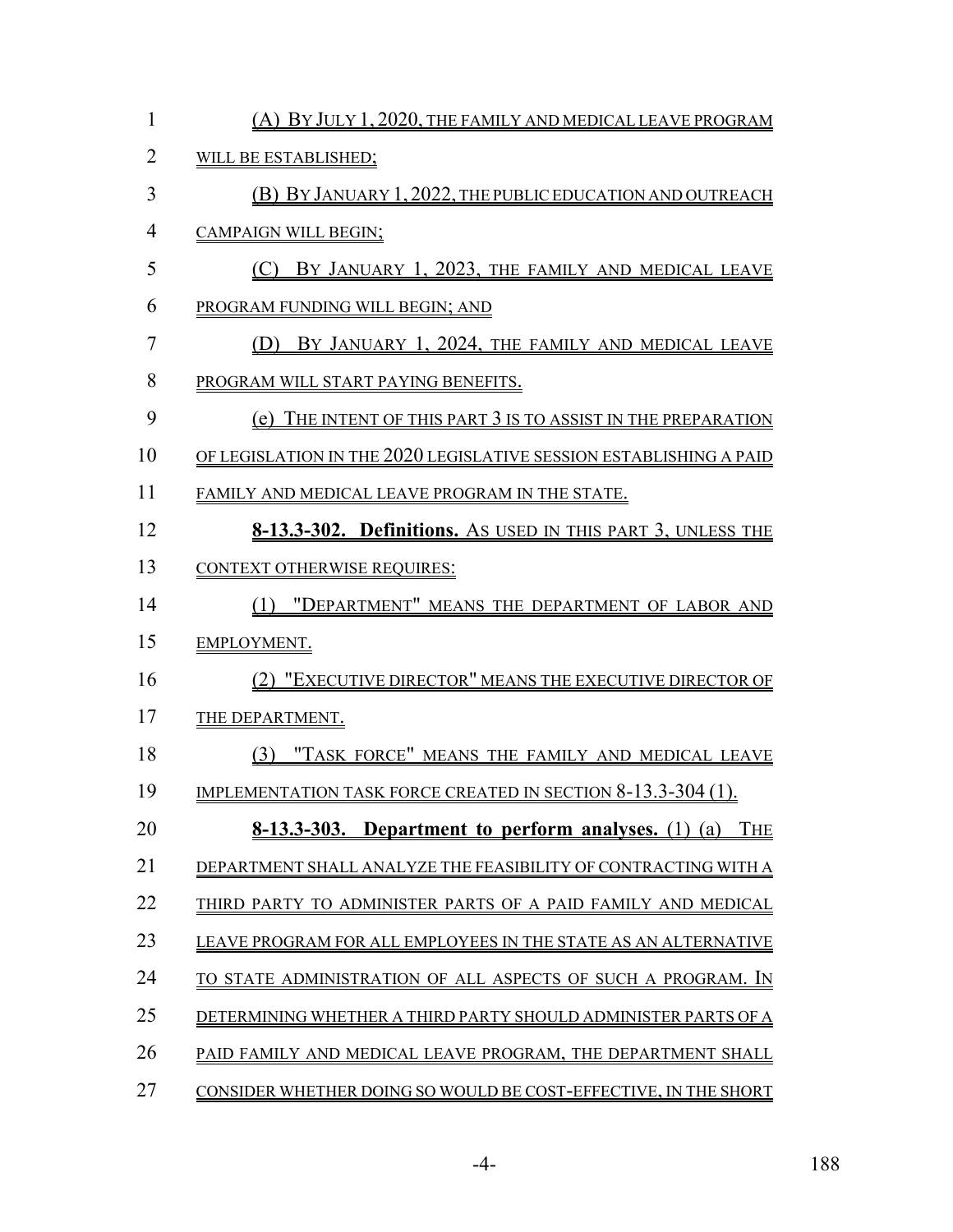| $\mathbf{1}$   | (A) BY JULY 1, 2020, THE FAMILY AND MEDICAL LEAVE PROGRAM           |
|----------------|---------------------------------------------------------------------|
| $\overline{2}$ | WILL BE ESTABLISHED;                                                |
| 3              | (B) BY JANUARY 1, 2022, THE PUBLIC EDUCATION AND OUTREACH           |
| $\overline{4}$ | <b>CAMPAIGN WILL BEGIN;</b>                                         |
| 5              | (C) BY JANUARY 1, 2023, THE FAMILY AND MEDICAL LEAVE                |
| 6              | PROGRAM FUNDING WILL BEGIN; AND                                     |
| $\overline{7}$ | (D) BY JANUARY 1, 2024, THE FAMILY AND MEDICAL LEAVE                |
| 8              | PROGRAM WILL START PAYING BENEFITS.                                 |
| 9              | (e) THE INTENT OF THIS PART 3 IS TO ASSIST IN THE PREPARATION       |
| 10             | OF LEGISLATION IN THE 2020 LEGISLATIVE SESSION ESTABLISHING A PAID  |
| 11             | FAMILY AND MEDICAL LEAVE PROGRAM IN THE STATE.                      |
| 12             | <b>8-13.3-302. Definitions.</b> As USED IN THIS PART 3, UNLESS THE  |
| 13             | <b>CONTEXT OTHERWISE REQUIRES:</b>                                  |
| 14             | (1) "DEPARTMENT" MEANS THE DEPARTMENT OF LABOR AND                  |
| 15             | <b>EMPLOYMENT.</b>                                                  |
| 16             | (2) "EXECUTIVE DIRECTOR" MEANS THE EXECUTIVE DIRECTOR OF            |
| 17             | <b>THE DEPARTMENT.</b>                                              |
| 18             | (3) "TASK FORCE" MEANS THE FAMILY AND MEDICAL LEAVE                 |
| 19             | <b>IMPLEMENTATION TASK FORCE CREATED IN SECTION 8-13.3-304 (1).</b> |
| 20             | 8-13.3-303. Department to perform analyses. (1) (a)<br><b>THE</b>   |
| 21             | DEPARTMENT SHALL ANALYZE THE FEASIBILITY OF CONTRACTING WITH A      |
| 22             | THIRD PARTY TO ADMINISTER PARTS OF A PAID FAMILY AND MEDICAL        |
| 23             | LEAVE PROGRAM FOR ALL EMPLOYEES IN THE STATE AS AN ALTERNATIVE      |
| 24             | TO STATE ADMINISTRATION OF ALL ASPECTS OF SUCH A PROGRAM. IN        |
| 25             | DETERMINING WHETHER A THIRD PARTY SHOULD ADMINISTER PARTS OF A      |
| 26             | PAID FAMILY AND MEDICAL LEAVE PROGRAM, THE DEPARTMENT SHALL         |
| 27             | CONSIDER WHETHER DOING SO WOULD BE COST-EFFECTIVE, IN THE SHORT     |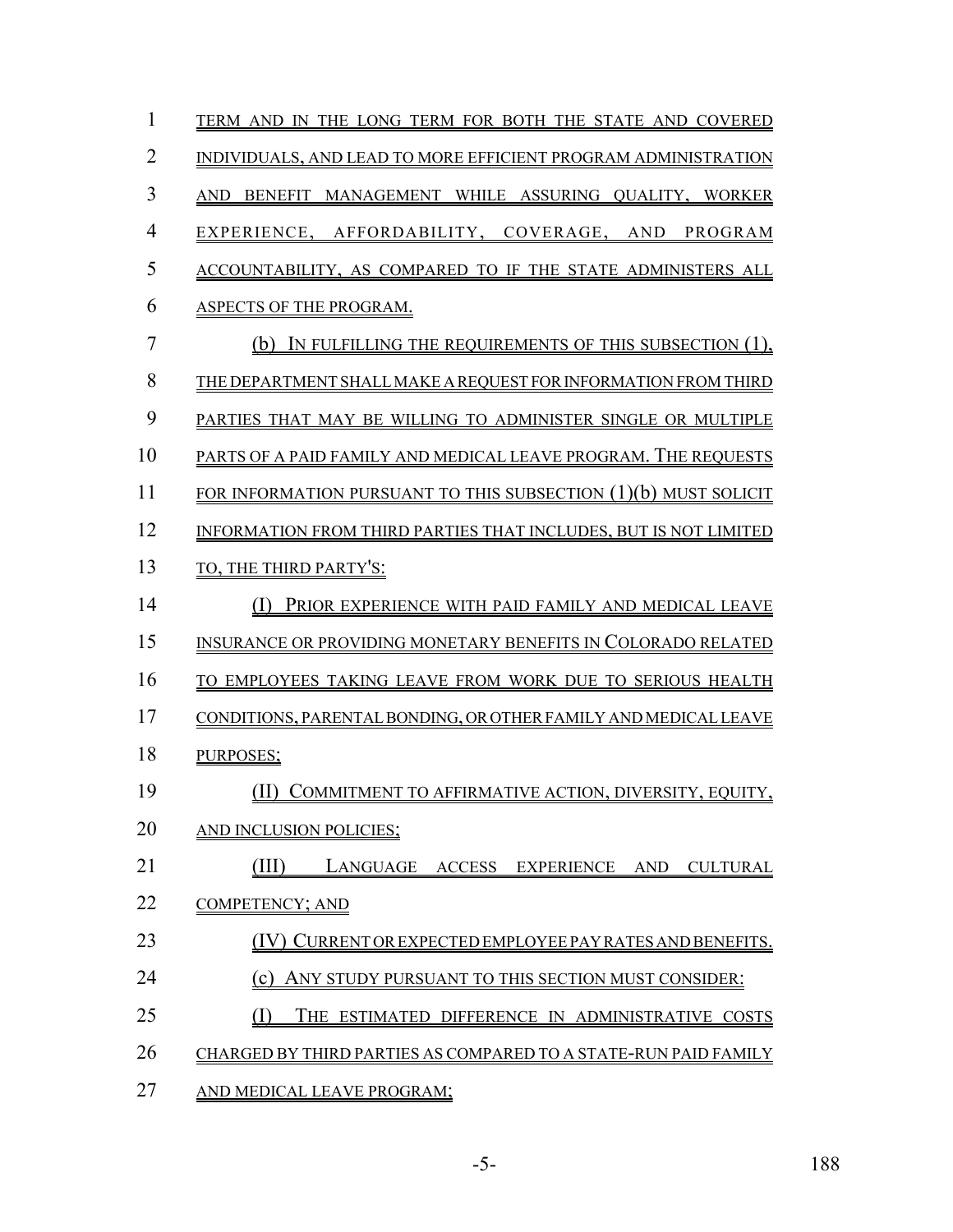| $\mathbf{1}$   | TERM AND IN THE LONG TERM FOR BOTH THE STATE AND COVERED          |
|----------------|-------------------------------------------------------------------|
| $\overline{2}$ | INDIVIDUALS, AND LEAD TO MORE EFFICIENT PROGRAM ADMINISTRATION    |
| 3              | BENEFIT MANAGEMENT WHILE ASSURING QUALITY, WORKER<br><b>AND</b>   |
| $\overline{4}$ | EXPERIENCE, AFFORDABILITY, COVERAGE, AND PROGRAM                  |
| 5              | ACCOUNTABILITY, AS COMPARED TO IF THE STATE ADMINISTERS ALL       |
| 6              | ASPECTS OF THE PROGRAM.                                           |
| 7              | IN FULFILLING THE REQUIREMENTS OF THIS SUBSECTION (1),<br>(b)     |
| 8              | THE DEPARTMENT SHALL MAKE A REQUEST FOR INFORMATION FROM THIRD    |
| 9              | PARTIES THAT MAY BE WILLING TO ADMINISTER SINGLE OR MULTIPLE      |
| 10             | PARTS OF A PAID FAMILY AND MEDICAL LEAVE PROGRAM. THE REQUESTS    |
| 11             | FOR INFORMATION PURSUANT TO THIS SUBSECTION $(1)(b)$ MUST SOLICIT |
| 12             | INFORMATION FROM THIRD PARTIES THAT INCLUDES, BUT IS NOT LIMITED  |
| 13             | TO, THE THIRD PARTY'S:                                            |
| 14             | PRIOR EXPERIENCE WITH PAID FAMILY AND MEDICAL LEAVE               |
| 15             | INSURANCE OR PROVIDING MONETARY BENEFITS IN COLORADO RELATED      |
| 16             | TO EMPLOYEES TAKING LEAVE FROM WORK DUE TO SERIOUS HEALTH         |
| 17             | CONDITIONS, PARENTAL BONDING, OR OTHER FAMILY AND MEDICAL LEAVE   |
| 18             | PURPOSES;                                                         |
| 19             | (II)<br>COMMITMENT TO AFFIRMATIVE ACTION, DIVERSITY, EQUITY,      |
| 20             | AND INCLUSION POLICIES;                                           |
| 21             | TII)<br>LANGUAGE ACCESS EXPERIENCE AND<br><b>CULTURAL</b>         |
| 22             | <b>COMPETENCY; AND</b>                                            |
| 23             | CURRENT OR EXPECTED EMPLOYEE PAY RATES AND BENEFITS.              |
| 24             | (c)<br>ANY STUDY PURSUANT TO THIS SECTION MUST CONSIDER:          |
| 25             | (I)<br>THE ESTIMATED DIFFERENCE IN ADMINISTRATIVE COSTS           |
| 26             | CHARGED BY THIRD PARTIES AS COMPARED TO A STATE-RUN PAID FAMILY   |
| 27             | AND MEDICAL LEAVE PROGRAM;                                        |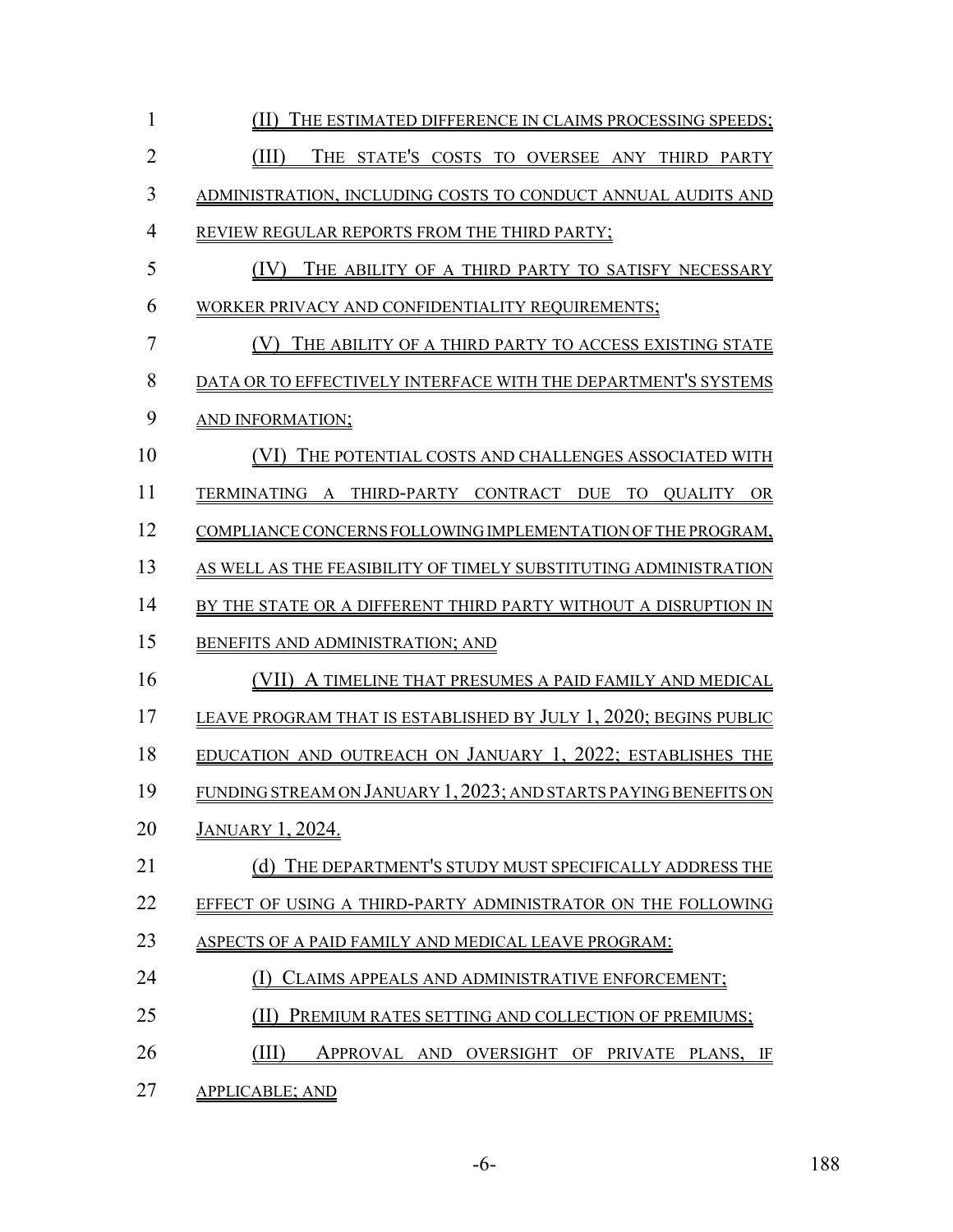| $\mathbf{1}$   | (II) THE ESTIMATED DIFFERENCE IN CLAIMS PROCESSING SPEEDS;       |
|----------------|------------------------------------------------------------------|
| $\overline{2}$ | (III)<br>THE STATE'S COSTS TO OVERSEE ANY THIRD PARTY            |
| 3              | ADMINISTRATION, INCLUDING COSTS TO CONDUCT ANNUAL AUDITS AND     |
| $\overline{4}$ | REVIEW REGULAR REPORTS FROM THE THIRD PARTY;                     |
| 5              | (IV)<br>THE ABILITY OF A THIRD PARTY TO SATISFY NECESSARY        |
| 6              | WORKER PRIVACY AND CONFIDENTIALITY REQUIREMENTS;                 |
| $\overline{7}$ | (V) THE ABILITY OF A THIRD PARTY TO ACCESS EXISTING STATE        |
| 8              | DATA OR TO EFFECTIVELY INTERFACE WITH THE DEPARTMENT'S SYSTEMS   |
| 9              | AND INFORMATION;                                                 |
| 10             | (VI) THE POTENTIAL COSTS AND CHALLENGES ASSOCIATED WITH          |
| 11             | TERMINATING A THIRD-PARTY CONTRACT DUE TO QUALITY OR             |
| 12             | COMPLIANCE CONCERNS FOLLOWING IMPLEMENTATION OF THE PROGRAM,     |
| 13             | AS WELL AS THE FEASIBILITY OF TIMELY SUBSTITUTING ADMINISTRATION |
| 14             | BY THE STATE OR A DIFFERENT THIRD PARTY WITHOUT A DISRUPTION IN  |
| 15             | BENEFITS AND ADMINISTRATION; AND                                 |
| 16             | (VII) A TIMELINE THAT PRESUMES A PAID FAMILY AND MEDICAL         |
| 17             | LEAVE PROGRAM THAT IS ESTABLISHED BY JULY 1, 2020; BEGINS PUBLIC |
| 18             | EDUCATION AND OUTREACH ON JANUARY 1, 2022; ESTABLISHES THE       |
| 19             | FUNDING STREAM ON JANUARY 1, 2023; AND STARTS PAYING BENEFITS ON |
| 20             | <u>JANUARY 1, 2024.</u>                                          |
| 21             | (d) THE DEPARTMENT'S STUDY MUST SPECIFICALLY ADDRESS THE         |
| 22             | EFFECT OF USING A THIRD-PARTY ADMINISTRATOR ON THE FOLLOWING     |
| 23             | ASPECTS OF A PAID FAMILY AND MEDICAL LEAVE PROGRAM:              |
| 24             | CLAIMS APPEALS AND ADMINISTRATIVE ENFORCEMENT;                   |
| 25             | PREMIUM RATES SETTING AND COLLECTION OF PREMIUMS;                |
| 26             | (III)<br>APPROVAL AND OVERSIGHT OF PRIVATE PLANS, IF             |
| 27             | <b>APPLICABLE; AND</b>                                           |

-6- 188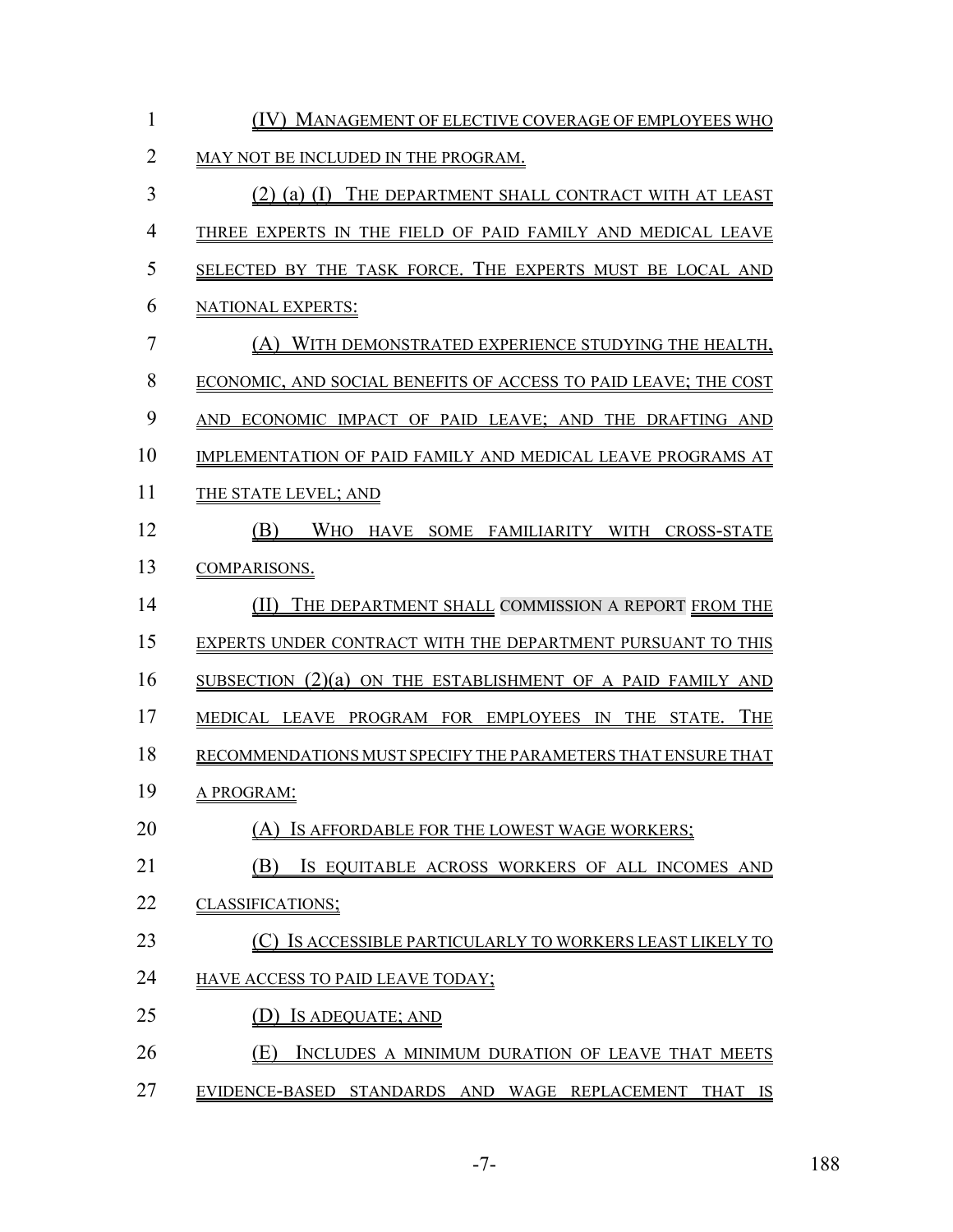| 1              | (IV) MANAGEMENT OF ELECTIVE COVERAGE OF EMPLOYEES WHO           |
|----------------|-----------------------------------------------------------------|
| $\overline{2}$ | MAY NOT BE INCLUDED IN THE PROGRAM.                             |
| 3              | (2) (a) (I) THE DEPARTMENT SHALL CONTRACT WITH AT LEAST         |
| $\overline{4}$ | THREE EXPERTS IN THE FIELD OF PAID FAMILY AND MEDICAL LEAVE     |
| 5              | SELECTED BY THE TASK FORCE. THE EXPERTS MUST BE LOCAL AND       |
| 6              | <b>NATIONAL EXPERTS:</b>                                        |
| 7              | (A) WITH DEMONSTRATED EXPERIENCE STUDYING THE HEALTH,           |
| 8              | ECONOMIC, AND SOCIAL BENEFITS OF ACCESS TO PAID LEAVE; THE COST |
| 9              | AND ECONOMIC IMPACT OF PAID LEAVE; AND THE DRAFTING AND         |
| 10             | IMPLEMENTATION OF PAID FAMILY AND MEDICAL LEAVE PROGRAMS AT     |
| 11             | THE STATE LEVEL; AND                                            |
| 12             | WHO HAVE SOME FAMILIARITY WITH CROSS-STATE<br>(B)               |
| 13             | <b>COMPARISONS.</b>                                             |
| 14             | THE DEPARTMENT SHALL COMMISSION A REPORT FROM THE<br>(II)       |
| 15             | EXPERTS UNDER CONTRACT WITH THE DEPARTMENT PURSUANT TO THIS     |
| 16             | SUBSECTION $(2)(a)$ ON THE ESTABLISHMENT OF A PAID FAMILY AND   |
| 17             | <b>THE</b><br>MEDICAL LEAVE PROGRAM FOR EMPLOYEES IN THE STATE. |
| 18             | RECOMMENDATIONS MUST SPECIFY THE PARAMETERS THAT ENSURE THAT    |
| 19             | A PROGRAM:                                                      |
| 20             | (A) IS AFFORDABLE FOR THE LOWEST WAGE WORKERS;                  |
| 21             | (B)<br>IS EQUITABLE ACROSS WORKERS OF ALL INCOMES AND           |
| 22             | <b>CLASSIFICATIONS;</b>                                         |
| 23             | IS ACCESSIBLE PARTICULARLY TO WORKERS LEAST LIKELY TO           |
| 24             | HAVE ACCESS TO PAID LEAVE TODAY;                                |
| 25             | IS ADEQUATE; AND                                                |
| 26             | (E)<br>INCLUDES A MINIMUM DURATION OF LEAVE THAT MEETS          |
| 27             | EVIDENCE-BASED STANDARDS AND WAGE REPLACEMENT THAT IS           |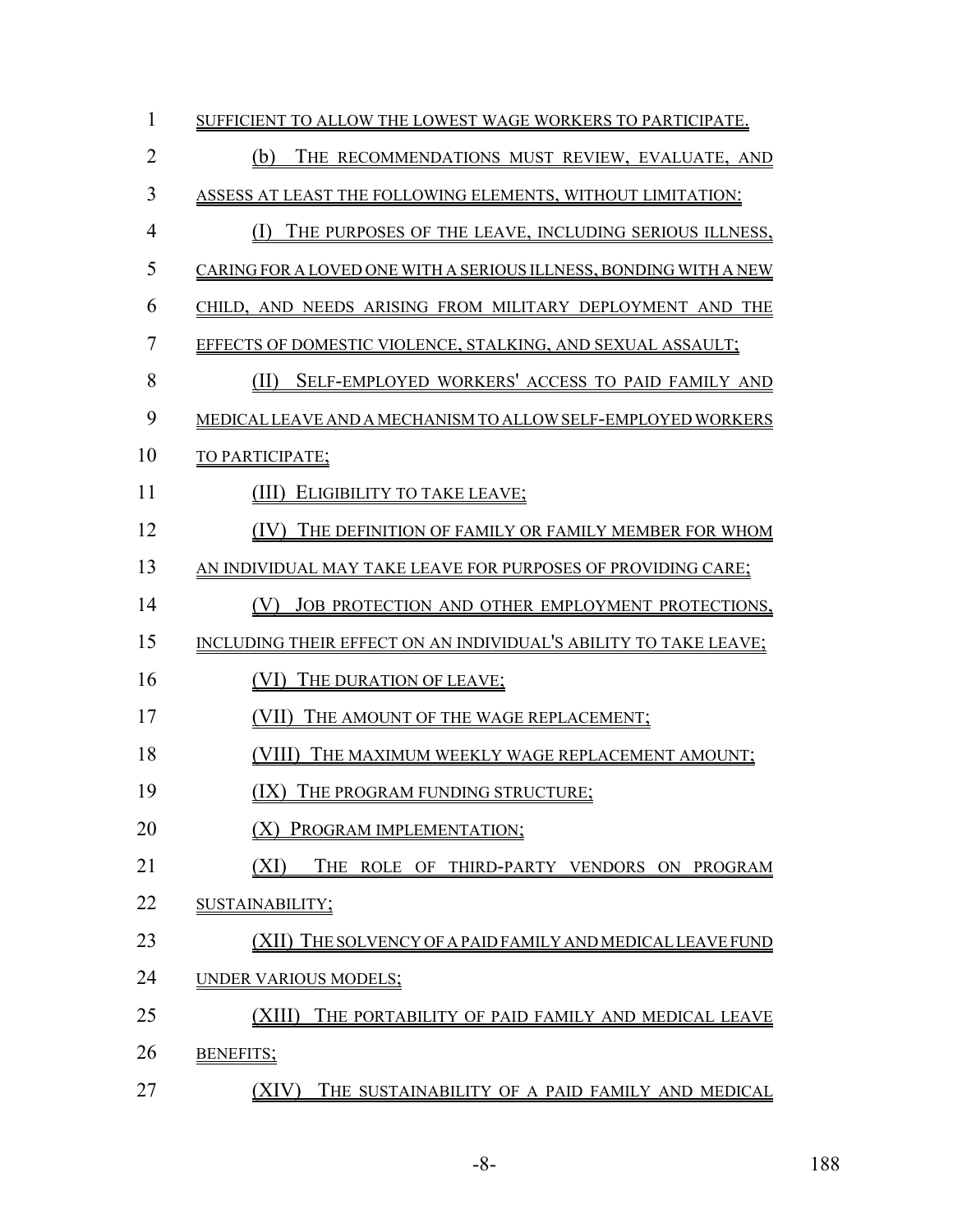| 1              | SUFFICIENT TO ALLOW THE LOWEST WAGE WORKERS TO PARTICIPATE.       |
|----------------|-------------------------------------------------------------------|
| $\overline{2}$ | (b)<br>THE RECOMMENDATIONS MUST REVIEW, EVALUATE, AND             |
| 3              | ASSESS AT LEAST THE FOLLOWING ELEMENTS, WITHOUT LIMITATION:       |
| $\overline{4}$ | THE PURPOSES OF THE LEAVE, INCLUDING SERIOUS ILLNESS,<br>(1)      |
| 5              | CARING FOR A LOVED ONE WITH A SERIOUS ILLNESS, BONDING WITH A NEW |
| 6              | CHILD, AND NEEDS ARISING FROM MILITARY DEPLOYMENT AND THE         |
| 7              | EFFECTS OF DOMESTIC VIOLENCE, STALKING, AND SEXUAL ASSAULT;       |
| 8              | SELF-EMPLOYED WORKERS' ACCESS TO PAID FAMILY AND<br>(II)          |
| 9              | MEDICAL LEAVE AND A MECHANISM TO ALLOW SELF-EMPLOYED WORKERS      |
| 10             | TO PARTICIPATE;                                                   |
| 11             | ELIGIBILITY TO TAKE LEAVE;<br>(III)                               |
| 12             | THE DEFINITION OF FAMILY OR FAMILY MEMBER FOR WHOM<br>(IV)        |
| 13             | AN INDIVIDUAL MAY TAKE LEAVE FOR PURPOSES OF PROVIDING CARE;      |
| 14             | JOB PROTECTION AND OTHER EMPLOYMENT PROTECTIONS,<br>( V )         |
| 15             | INCLUDING THEIR EFFECT ON AN INDIVIDUAL'S ABILITY TO TAKE LEAVE;  |
| 16             | THE DURATION OF LEAVE;<br>(VI)                                    |
| 17             | (VII)<br>THE AMOUNT OF THE WAGE REPLACEMENT;                      |
| 18             | (VIII)<br>THE MAXIMUM WEEKLY WAGE REPLACEMENT AMOUNT;             |
| 19             | THE PROGRAM FUNDING STRUCTURE;<br>(IX)                            |
| 20             | PROGRAM IMPLEMENTATION;                                           |
| 21             | (XI)<br>THE ROLE OF THIRD-PARTY VENDORS ON PROGRAM                |
| 22             | SUSTAINABILITY;                                                   |
| 23             | (XII) THE SOLVENCY OF A PAID FAMILY AND MEDICAL LEAVE FUND        |
| 24             | UNDER VARIOUS MODELS;                                             |
| 25             | (XIII)<br>THE PORTABILITY OF PAID FAMILY AND MEDICAL LEAVE        |
| 26             | <b>BENEFITS;</b>                                                  |
| 27             | (XIV)<br>THE SUSTAINABILITY OF A PAID FAMILY AND MEDICAL          |

-8- 188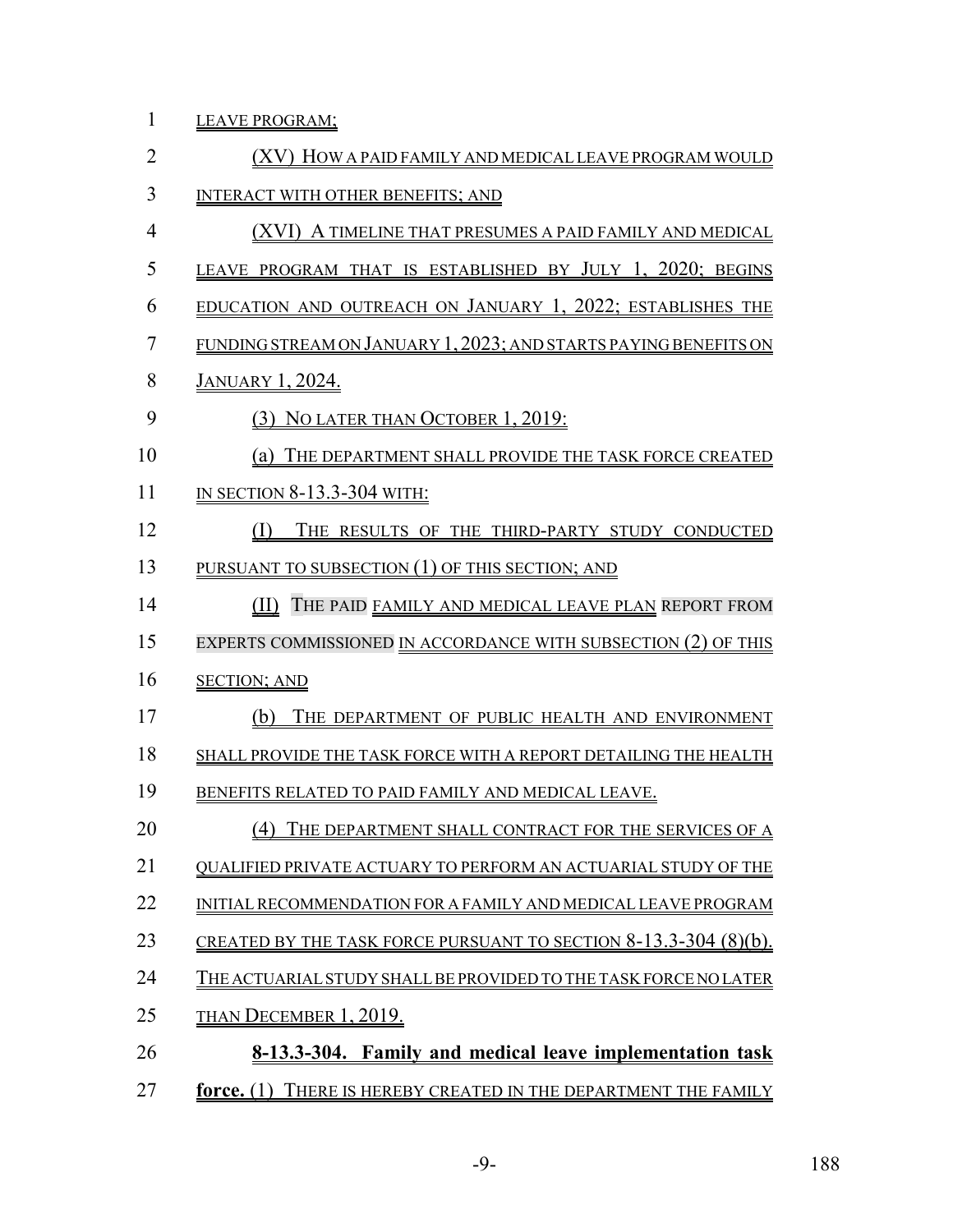1 LEAVE PROGRAM;

| $\overline{2}$ | (XV) HOW A PAID FAMILY AND MEDICAL LEAVE PROGRAM WOULD           |
|----------------|------------------------------------------------------------------|
| 3              | <b>INTERACT WITH OTHER BENEFITS; AND</b>                         |
| $\overline{4}$ | (XVI) A TIMELINE THAT PRESUMES A PAID FAMILY AND MEDICAL         |
| 5              | LEAVE PROGRAM THAT IS ESTABLISHED BY JULY 1, 2020; BEGINS        |
| 6              | EDUCATION AND OUTREACH ON JANUARY 1, 2022; ESTABLISHES THE       |
| $\overline{7}$ | FUNDING STREAM ON JANUARY 1, 2023; AND STARTS PAYING BENEFITS ON |
| 8              | <u>January 1, 2024.</u>                                          |
| 9              | (3) NO LATER THAN OCTOBER 1, 2019:                               |
| 10             | (a) THE DEPARTMENT SHALL PROVIDE THE TASK FORCE CREATED          |
| 11             | IN SECTION 8-13.3-304 WITH:                                      |
| 12             | (I)<br>THE RESULTS OF THE THIRD-PARTY STUDY CONDUCTED            |
| 13             | <b>PURSUANT TO SUBSECTION (1) OF THIS SECTION; AND</b>           |
| 14             | (II) THE PAID FAMILY AND MEDICAL LEAVE PLAN REPORT FROM          |
| 15             | EXPERTS COMMISSIONED IN ACCORDANCE WITH SUBSECTION (2) OF THIS   |
| 16             | <b>SECTION; AND</b>                                              |
| 17             | THE DEPARTMENT OF PUBLIC HEALTH AND ENVIRONMENT<br>(b)           |
| 18             | SHALL PROVIDE THE TASK FORCE WITH A REPORT DETAILING THE HEALTH  |
| 19             | BENEFITS RELATED TO PAID FAMILY AND MEDICAL LEAVE.               |
| 20             | (4) THE DEPARTMENT SHALL CONTRACT FOR THE SERVICES OF A          |
| 21             | QUALIFIED PRIVATE ACTUARY TO PERFORM AN ACTUARIAL STUDY OF THE   |
| 22             | INITIAL RECOMMENDATION FOR A FAMILY AND MEDICAL LEAVE PROGRAM    |
| 23             | CREATED BY THE TASK FORCE PURSUANT TO SECTION 8-13.3-304 (8)(b). |
| 24             | THE ACTUARIAL STUDY SHALL BE PROVIDED TO THE TASK FORCE NO LATER |
| 25             | <b>THAN DECEMBER 1, 2019.</b>                                    |
| 26             | 8-13.3-304. Family and medical leave implementation task         |
| 27             | force. (1) THERE IS HEREBY CREATED IN THE DEPARTMENT THE FAMILY  |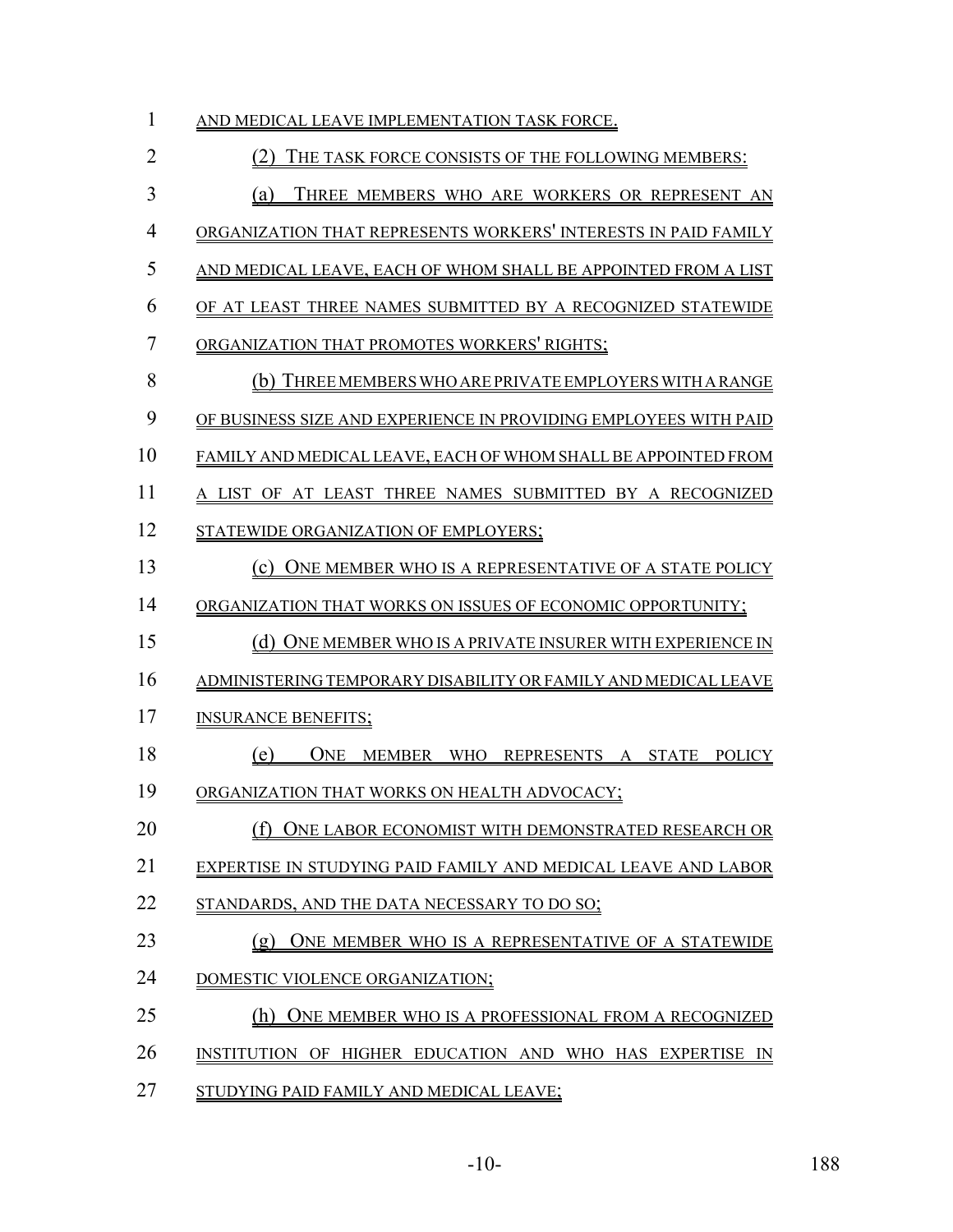| 1              | AND MEDICAL LEAVE IMPLEMENTATION TASK FORCE.                        |
|----------------|---------------------------------------------------------------------|
| $\overline{2}$ | THE TASK FORCE CONSISTS OF THE FOLLOWING MEMBERS:                   |
| 3              | THREE MEMBERS WHO ARE WORKERS OR REPRESENT AN<br>(a)                |
| $\overline{4}$ | ORGANIZATION THAT REPRESENTS WORKERS' INTERESTS IN PAID FAMILY      |
| 5              | AND MEDICAL LEAVE, EACH OF WHOM SHALL BE APPOINTED FROM A LIST      |
| 6              | OF AT LEAST THREE NAMES SUBMITTED BY A RECOGNIZED STATEWIDE         |
| 7              | ORGANIZATION THAT PROMOTES WORKERS' RIGHTS;                         |
| 8              | (b) THREE MEMBERS WHO ARE PRIVATE EMPLOYERS WITH A RANGE            |
| 9              | OF BUSINESS SIZE AND EXPERIENCE IN PROVIDING EMPLOYEES WITH PAID    |
| 10             | FAMILY AND MEDICAL LEAVE, EACH OF WHOM SHALL BE APPOINTED FROM      |
| 11             | A LIST OF AT LEAST THREE NAMES SUBMITTED BY A RECOGNIZED            |
| 12             | STATEWIDE ORGANIZATION OF EMPLOYERS;                                |
| 13             | (c) ONE MEMBER WHO IS A REPRESENTATIVE OF A STATE POLICY            |
| 14             | ORGANIZATION THAT WORKS ON ISSUES OF ECONOMIC OPPORTUNITY;          |
| 15             | (d) ONE MEMBER WHO IS A PRIVATE INSURER WITH EXPERIENCE IN          |
| 16             | ADMINISTERING TEMPORARY DISABILITY OR FAMILY AND MEDICAL LEAVE      |
| 17             | <b>INSURANCE BENEFITS:</b>                                          |
| 18             | <b>ONE</b><br>MEMBER WHO REPRESENTS A STATE<br>(e)<br><b>POLICY</b> |
| 19             | ORGANIZATION THAT WORKS ON HEALTH ADVOCACY;                         |
| 20             | (f) ONE LABOR ECONOMIST WITH DEMONSTRATED RESEARCH OR               |
| 21             | EXPERTISE IN STUDYING PAID FAMILY AND MEDICAL LEAVE AND LABOR       |
| 22             | STANDARDS, AND THE DATA NECESSARY TO DO SO;                         |
| 23             | ONE MEMBER WHO IS A REPRESENTATIVE OF A STATEWIDE<br>(g)            |
| 24             | DOMESTIC VIOLENCE ORGANIZATION;                                     |
| 25             | ONE MEMBER WHO IS A PROFESSIONAL FROM A RECOGNIZED<br>(h)           |
| 26             | INSTITUTION OF HIGHER EDUCATION AND WHO HAS EXPERTISE IN            |
| 27             | STUDYING PAID FAMILY AND MEDICAL LEAVE;                             |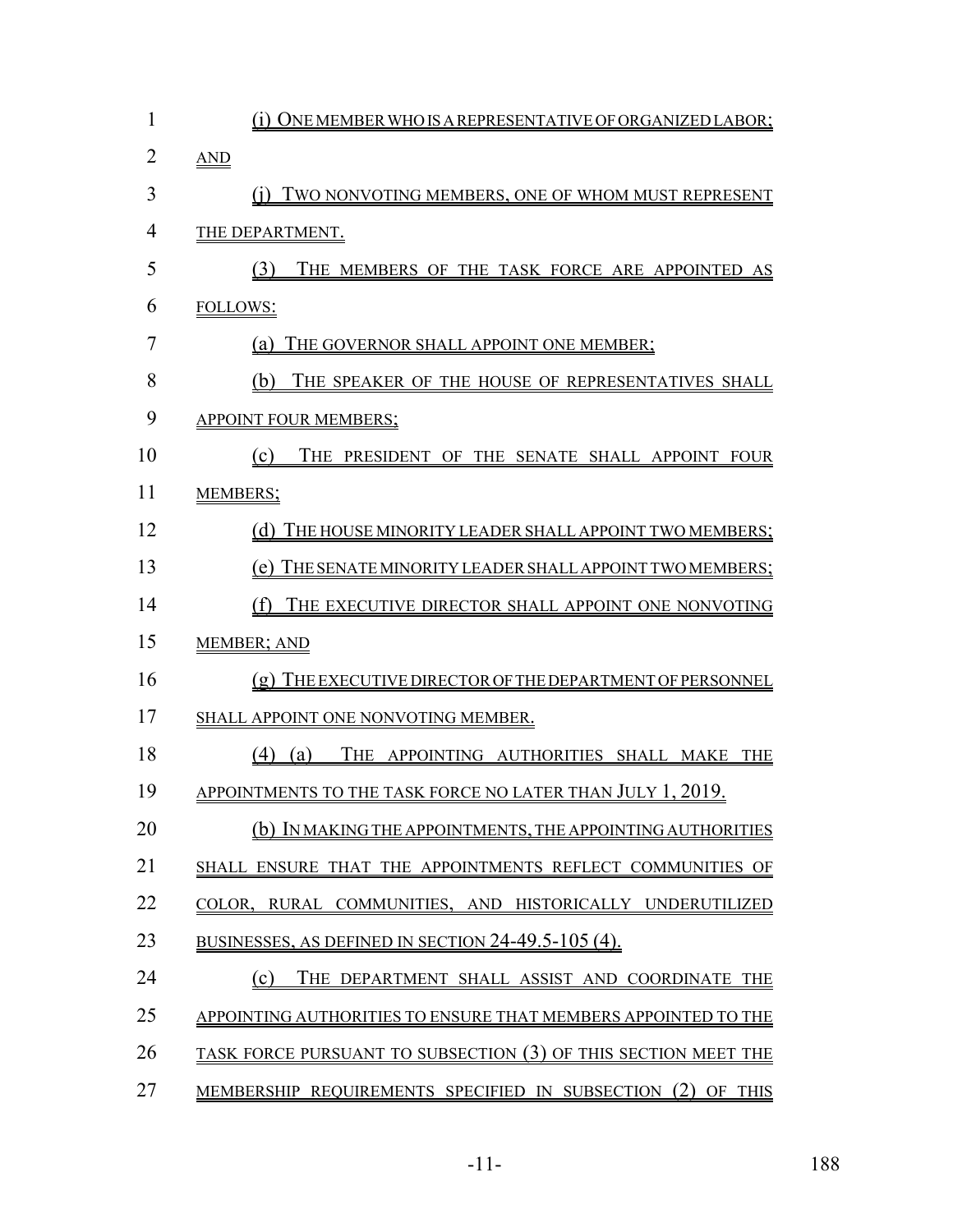| $\mathbf{1}$   | <u>ONE MEMBER WHO IS A REPRESENTATIVE OF ORGANIZED LABOR;</u><br>(1) |
|----------------|----------------------------------------------------------------------|
| $\overline{2}$ | AND                                                                  |
| 3              | TWO NONVOTING MEMBERS, ONE OF WHOM MUST REPRESENT                    |
| $\overline{4}$ | THE DEPARTMENT.                                                      |
| 5              | THE MEMBERS OF THE TASK FORCE ARE APPOINTED AS<br>(3)                |
| 6              | <b>FOLLOWS:</b>                                                      |
| 7              | THE GOVERNOR SHALL APPOINT ONE MEMBER;<br>(a)                        |
| 8              | THE SPEAKER OF THE HOUSE OF REPRESENTATIVES SHALL<br>(b)             |
| 9              | <b>APPOINT FOUR MEMBERS:</b>                                         |
| 10             | (c)<br>THE PRESIDENT OF THE SENATE SHALL APPOINT FOUR                |
| 11             | <b>MEMBERS;</b>                                                      |
| 12             | (d) THE HOUSE MINORITY LEADER SHALL APPOINT TWO MEMBERS;             |
| 13             | (e) THE SENATE MINORITY LEADER SHALL APPOINT TWO MEMBERS;            |
| 14             | THE EXECUTIVE DIRECTOR SHALL APPOINT ONE NONVOTING<br>(f)            |
| 15             | MEMBER; AND                                                          |
| 16             | (g) THE EXECUTIVE DIRECTOR OF THE DEPARTMENT OF PERSONNEL            |
| 17             | SHALL APPOINT ONE NONVOTING MEMBER.                                  |
| 18             | THE APPOINTING AUTHORITIES SHALL MAKE THE<br>$(4)$ (a)               |
| 19             | APPOINTMENTS TO THE TASK FORCE NO LATER THAN JULY 1, 2019.           |
| 20             | (b) IN MAKING THE APPOINTMENTS, THE APPOINTING AUTHORITIES           |
| 21             | SHALL ENSURE THAT THE APPOINTMENTS REFLECT COMMUNITIES OF            |
| 22             | COLOR, RURAL COMMUNITIES, AND HISTORICALLY UNDERUTILIZED             |
| 23             | BUSINESSES, AS DEFINED IN SECTION 24-49.5-105 (4).                   |
| 24             | THE DEPARTMENT SHALL ASSIST AND COORDINATE THE<br>(c)                |
| 25             | APPOINTING AUTHORITIES TO ENSURE THAT MEMBERS APPOINTED TO THE       |
| 26             | TASK FORCE PURSUANT TO SUBSECTION (3) OF THIS SECTION MEET THE       |
| 27             | MEMBERSHIP REQUIREMENTS SPECIFIED IN SUBSECTION (2) OF THIS          |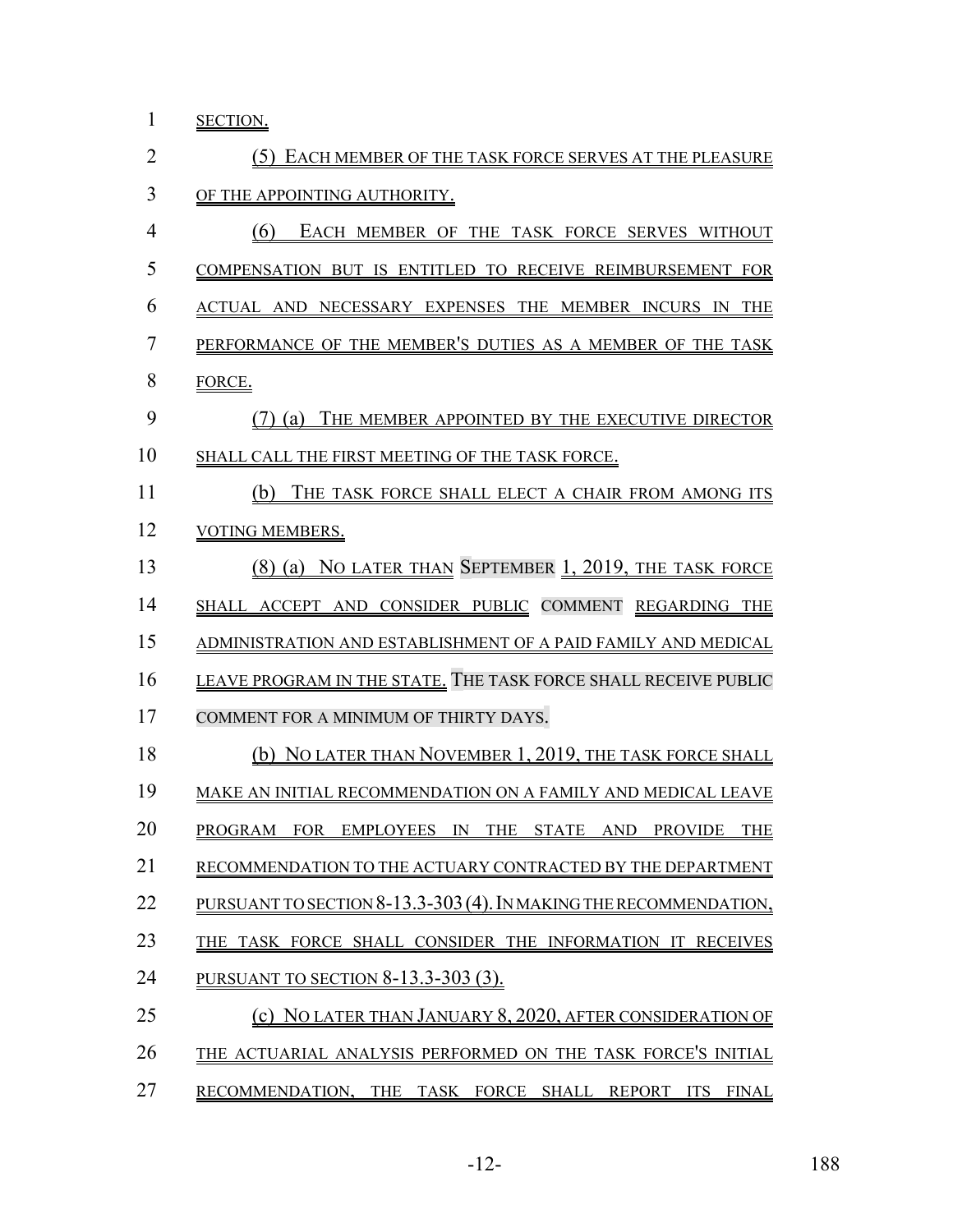1 <u>SECTION.</u>

| $\overline{2}$ | (5) EACH MEMBER OF THE TASK FORCE SERVES AT THE PLEASURE          |
|----------------|-------------------------------------------------------------------|
| 3              | OF THE APPOINTING AUTHORITY.                                      |
| 4              | (6)<br>EACH MEMBER OF THE TASK FORCE SERVES WITHOUT               |
| 5              | COMPENSATION BUT IS ENTITLED TO RECEIVE REIMBURSEMENT FOR         |
| 6              | ACTUAL AND NECESSARY EXPENSES THE MEMBER INCURS IN THE            |
| 7              | PERFORMANCE OF THE MEMBER'S DUTIES AS A MEMBER OF THE TASK        |
| 8              | FORCE.                                                            |
| 9              | (7) (a) THE MEMBER APPOINTED BY THE EXECUTIVE DIRECTOR            |
| 10             | SHALL CALL THE FIRST MEETING OF THE TASK FORCE.                   |
| 11             | THE TASK FORCE SHALL ELECT A CHAIR FROM AMONG ITS<br>(b)          |
| 12             | VOTING MEMBERS.                                                   |
| 13             | (8) (a) NO LATER THAN SEPTEMBER 1, 2019, THE TASK FORCE           |
| 14             | SHALL ACCEPT AND CONSIDER PUBLIC COMMENT REGARDING THE            |
| 15             | ADMINISTRATION AND ESTABLISHMENT OF A PAID FAMILY AND MEDICAL     |
| 16             | LEAVE PROGRAM IN THE STATE. THE TASK FORCE SHALL RECEIVE PUBLIC   |
| 17             | COMMENT FOR A MINIMUM OF THIRTY DAYS.                             |
| 18             | (b) NO LATER THAN NOVEMBER 1, 2019, THE TASK FORCE SHALL          |
| 19             | MAKE AN INITIAL RECOMMENDATION ON A FAMILY AND MEDICAL LEAVE      |
| 20             | PROGRAM FOR EMPLOYEES IN THE STATE AND PROVIDE<br><b>THE</b>      |
| 21             | RECOMMENDATION TO THE ACTUARY CONTRACTED BY THE DEPARTMENT        |
| 22             | PURSUANT TO SECTION 8-13.3-303 (4). IN MAKING THE RECOMMENDATION, |
| 23             | THE TASK FORCE SHALL CONSIDER THE INFORMATION IT RECEIVES         |
| 24             | <u>PURSUANT TO SECTION 8-13.3-303 (3).</u>                        |
| 25             | (c) NO LATER THAN JANUARY 8, 2020, AFTER CONSIDERATION OF         |
| 26             | THE ACTUARIAL ANALYSIS PERFORMED ON THE TASK FORCE'S INITIAL      |
| 27             | RECOMMENDATION, THE TASK FORCE SHALL REPORT ITS FINAL             |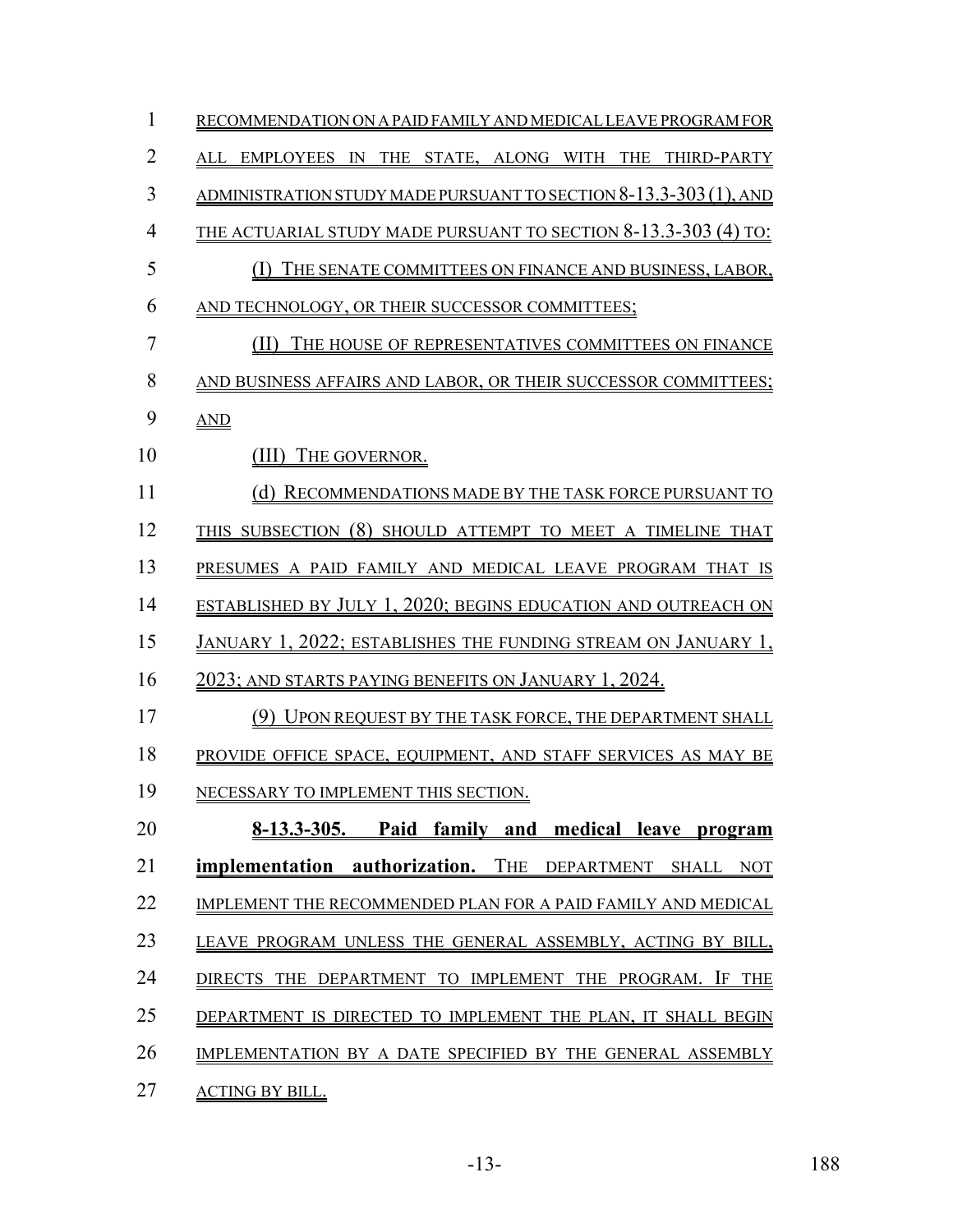| $\mathbf{1}$   | RECOMMENDATION ON A PAID FAMILY AND MEDICAL LEAVE PROGRAM FOR        |
|----------------|----------------------------------------------------------------------|
| $\overline{2}$ | ALL EMPLOYEES IN THE STATE, ALONG WITH THE THIRD-PARTY               |
| 3              | ADMINISTRATION STUDY MADE PURSUANT TO SECTION 8-13.3-303 (1), AND    |
| $\overline{4}$ | THE ACTUARIAL STUDY MADE PURSUANT TO SECTION 8-13.3-303 (4) TO:      |
| 5              | (I) THE SENATE COMMITTEES ON FINANCE AND BUSINESS, LABOR,            |
| 6              | AND TECHNOLOGY, OR THEIR SUCCESSOR COMMITTEES;                       |
| 7              | (II)<br>THE HOUSE OF REPRESENTATIVES COMMITTEES ON FINANCE           |
| 8              | AND BUSINESS AFFAIRS AND LABOR, OR THEIR SUCCESSOR COMMITTEES;       |
| 9              | <b>AND</b>                                                           |
| 10             | (III) THE GOVERNOR.                                                  |
| 11             | (d) RECOMMENDATIONS MADE BY THE TASK FORCE PURSUANT TO               |
| 12             | THIS SUBSECTION (8) SHOULD ATTEMPT TO MEET A TIMELINE THAT           |
| 13             | PRESUMES A PAID FAMILY AND MEDICAL LEAVE PROGRAM THAT IS             |
| 14             | <b>ESTABLISHED BY JULY 1, 2020; BEGINS EDUCATION AND OUTREACH ON</b> |
| 15             | JANUARY 1, 2022; ESTABLISHES THE FUNDING STREAM ON JANUARY 1,        |
| 16             | 2023; and starts paying benefits on January 1, 2024.                 |
| 17             | (9) UPON REQUEST BY THE TASK FORCE, THE DEPARTMENT SHALL             |
| 18             | PROVIDE OFFICE SPACE, EQUIPMENT, AND STAFF SERVICES AS MAY BE        |
| 19             | NECESSARY TO IMPLEMENT THIS SECTION.                                 |
| 20             | $8-13.3-305.$<br>Paid family and medical leave program               |
| 21             | implementation authorization. THE DEPARTMENT SHALL NOT               |
| 22             | IMPLEMENT THE RECOMMENDED PLAN FOR A PAID FAMILY AND MEDICAL         |
| 23             | LEAVE PROGRAM UNLESS THE GENERAL ASSEMBLY, ACTING BY BILL,           |
| 24             | DIRECTS THE DEPARTMENT TO IMPLEMENT THE PROGRAM. IF THE              |
| 25             | DEPARTMENT IS DIRECTED TO IMPLEMENT THE PLAN, IT SHALL BEGIN         |
| 26             | IMPLEMENTATION BY A DATE SPECIFIED BY THE GENERAL ASSEMBLY           |
| 27             | <b>ACTING BY BILL.</b>                                               |